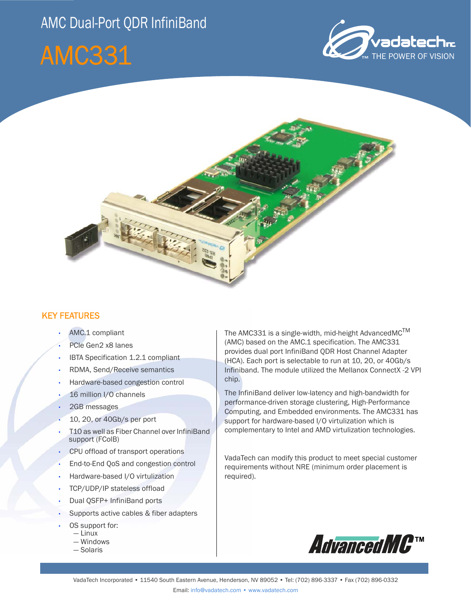## AMC Dual-Port QDR InfiniBand

# AMC331





#### KEY FEATURES

- AMC.1 compliant
- PCIe Gen2 x8 lanes
- IBTA Specification 1.2.1 compliant
- RDMA, Send/Receive semantics
- Hardware-based congestion control
- 16 million I/O channels
- 2GB messages
- 10, 20, or 40Gb/s per port
- T10 as well as Fiber Channel over InfiniBand support (FColB)
- CPU offload of transport operations
- End-to-End QoS and congestion control
- Hardware-based I/O virtulization
- TCP/UDP/IP stateless offload
- Dual QSFP+ InfiniBand ports
- Supports active cables & fiber adapters
- OS support for:
	- $-\lim_{x \to 0}$
	- Windows
	- Solaris

The AMC331 is a single-width, mid-height AdvancedMC<sup>TM</sup> (AMC) based on the AMC.1 specification. The AMC331 provides dual port InfiniBand QDR Host Channel Adapter (HCA). Each port is selectable to run at 10, 20, or 40Gb/s Infiniband. The module utilized the Mellanox ConnectX -2 VPI chip.

The InfiniBand deliver low-latency and high-bandwidth for performance-driven storage clustering, High-Performance Computing, and Embedded environments. The AMC331 has support for hardware-based I/O virtulization which is complementary to Intel and AMD virtulization technologies.

VadaTech can modify this product to meet special customer requirements without NRE (minimum order placement is required).

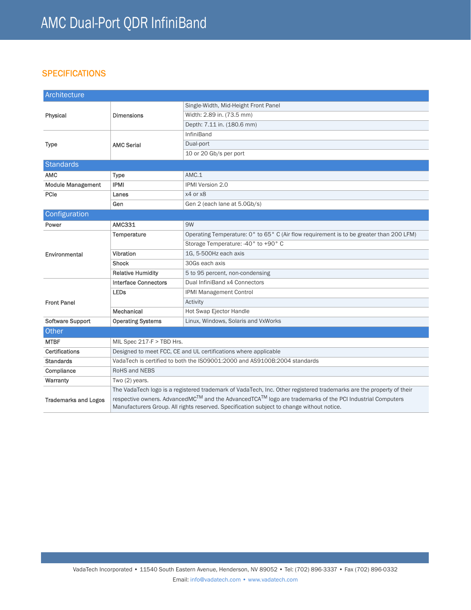### **SPECIFICATIONS**

| Architecture                |                                                                                                                                                                                                                                |                                                                                         |
|-----------------------------|--------------------------------------------------------------------------------------------------------------------------------------------------------------------------------------------------------------------------------|-----------------------------------------------------------------------------------------|
| Physical                    | <b>Dimensions</b>                                                                                                                                                                                                              | Single-Width, Mid-Height Front Panel                                                    |
|                             |                                                                                                                                                                                                                                | Width: 2.89 in. (73.5 mm)                                                               |
|                             |                                                                                                                                                                                                                                | Depth: 7.11 in. (180.6 mm)                                                              |
| <b>Type</b>                 | <b>AMC Serial</b>                                                                                                                                                                                                              | <b>InfiniBand</b>                                                                       |
|                             |                                                                                                                                                                                                                                | Dual-port                                                                               |
|                             |                                                                                                                                                                                                                                | 10 or 20 Gb/s per port                                                                  |
| <b>Standards</b>            |                                                                                                                                                                                                                                |                                                                                         |
| <b>AMC</b>                  | Type                                                                                                                                                                                                                           | AMC.1                                                                                   |
| <b>Module Management</b>    | <b>IPMI</b>                                                                                                                                                                                                                    | <b>IPMI Version 2.0</b>                                                                 |
| PCIe                        | Lanes                                                                                                                                                                                                                          | x4 or x8                                                                                |
|                             | Gen                                                                                                                                                                                                                            | Gen 2 (each lane at 5.0Gb/s)                                                            |
| Configuration               |                                                                                                                                                                                                                                |                                                                                         |
| Power                       | <b>AMC331</b>                                                                                                                                                                                                                  | 9W                                                                                      |
| Environmental               | Temperature                                                                                                                                                                                                                    | Operating Temperature: 0° to 65° C (Air flow requirement is to be greater than 200 LFM) |
|                             |                                                                                                                                                                                                                                | Storage Temperature: -40° to +90° C                                                     |
|                             | Vibration                                                                                                                                                                                                                      | 1G, 5-500Hz each axis                                                                   |
|                             | <b>Shock</b>                                                                                                                                                                                                                   | 30Gs each axis                                                                          |
|                             | <b>Relative Humidity</b>                                                                                                                                                                                                       | 5 to 95 percent, non-condensing                                                         |
| <b>Front Panel</b>          | <b>Interface Connectors</b>                                                                                                                                                                                                    | Dual InfiniBand x4 Connectors                                                           |
|                             | <b>LEDs</b>                                                                                                                                                                                                                    | <b>IPMI Management Control</b>                                                          |
|                             |                                                                                                                                                                                                                                | Activity                                                                                |
|                             | Mechanical                                                                                                                                                                                                                     | Hot Swap Ejector Handle                                                                 |
| Software Support            | <b>Operating Systems</b>                                                                                                                                                                                                       | Linux, Windows, Solaris and VxWorks                                                     |
| Other                       |                                                                                                                                                                                                                                |                                                                                         |
| <b>MTBF</b>                 | MIL Spec $217-F > TBD$ Hrs.                                                                                                                                                                                                    |                                                                                         |
| Certifications              | Designed to meet FCC, CE and UL certifications where applicable                                                                                                                                                                |                                                                                         |
| <b>Standards</b>            | VadaTech is certified to both the ISO9001:2000 and AS9100B:2004 standards                                                                                                                                                      |                                                                                         |
| Compliance                  | <b>RoHS and NEBS</b>                                                                                                                                                                                                           |                                                                                         |
| Warranty                    | Two (2) years.                                                                                                                                                                                                                 |                                                                                         |
| <b>Trademarks and Logos</b> | The VadaTech logo is a registered trademark of VadaTech, Inc. Other registered trademarks are the property of their                                                                                                            |                                                                                         |
|                             | respective owners. AdvancedMC <sup>TM</sup> and the AdvancedTCA <sup>TM</sup> logo are trademarks of the PCI Industrial Computers<br>Manufacturers Group. All rights reserved. Specification subject to change without notice. |                                                                                         |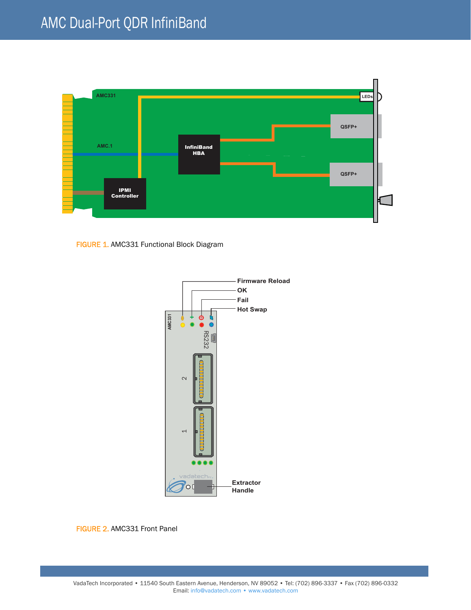

FIGURE 1. AMC331 Functional Block Diagram



FIGURE 2. AMC331 Front Panel